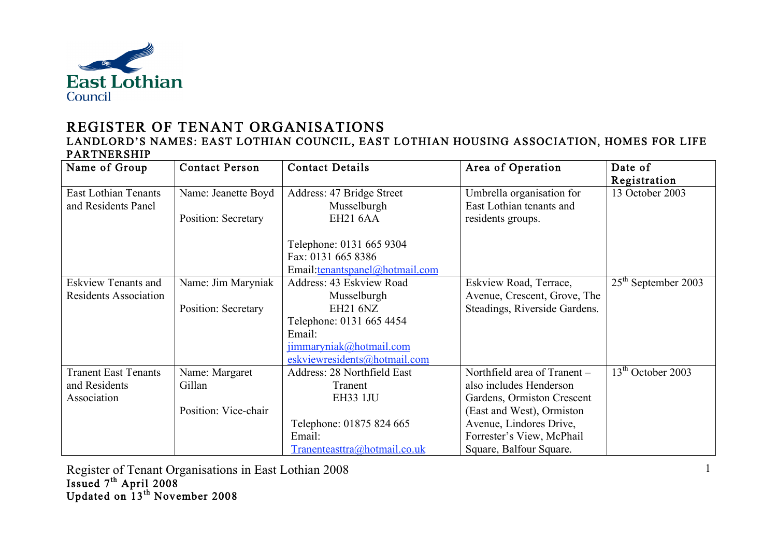

## REGISTER OF TENANT ORGANISATIONS

## LANDLORD'S NAMES: EAST LOTHIAN COUNCIL, EAST LOTHIAN HOUSING ASSOCIATION, HOMES FOR LIFE PARTNERSHIP

| Name of Group                | <b>Contact Person</b> | <b>Contact Details</b>         | Area of Operation             | Date of                       |
|------------------------------|-----------------------|--------------------------------|-------------------------------|-------------------------------|
|                              |                       |                                |                               | Registration                  |
| <b>East Lothian Tenants</b>  | Name: Jeanette Boyd   | Address: 47 Bridge Street      | Umbrella organisation for     | 13 October 2003               |
| and Residents Panel          |                       | Musselburgh                    | East Lothian tenants and      |                               |
|                              | Position: Secretary   | <b>EH21 6AA</b>                | residents groups.             |                               |
|                              |                       |                                |                               |                               |
|                              |                       | Telephone: 0131 665 9304       |                               |                               |
|                              |                       | Fax: 0131 665 8386             |                               |                               |
|                              |                       | Email:tenantspanel@hotmail.com |                               |                               |
| <b>Eskview Tenants and</b>   | Name: Jim Maryniak    | Address: 43 Eskview Road       | Eskview Road, Terrace,        | $25th$ September 2003         |
| <b>Residents Association</b> |                       | Musselburgh                    | Avenue, Crescent, Grove, The  |                               |
|                              | Position: Secretary   | <b>EH21 6NZ</b>                | Steadings, Riverside Gardens. |                               |
|                              |                       | Telephone: 0131 665 4454       |                               |                               |
|                              |                       | Email:                         |                               |                               |
|                              |                       | jimmaryniak@hotmail.com        |                               |                               |
|                              |                       | eskviewresidents@hotmail.com   |                               |                               |
| <b>Tranent East Tenants</b>  | Name: Margaret        | Address: 28 Northfield East    | Northfield area of Tranent -  | 13 <sup>th</sup> October 2003 |
| and Residents                | Gillan                | Tranent                        | also includes Henderson       |                               |
| Association                  |                       | <b>EH33 1JU</b>                | Gardens, Ormiston Crescent    |                               |
|                              | Position: Vice-chair  |                                | (East and West), Ormiston     |                               |
|                              |                       | Telephone: 01875 824 665       | Avenue, Lindores Drive,       |                               |
|                              |                       | Email:                         | Forrester's View, McPhail     |                               |
|                              |                       | Tranenteasttra@hotmail.co.uk   | Square, Balfour Square.       |                               |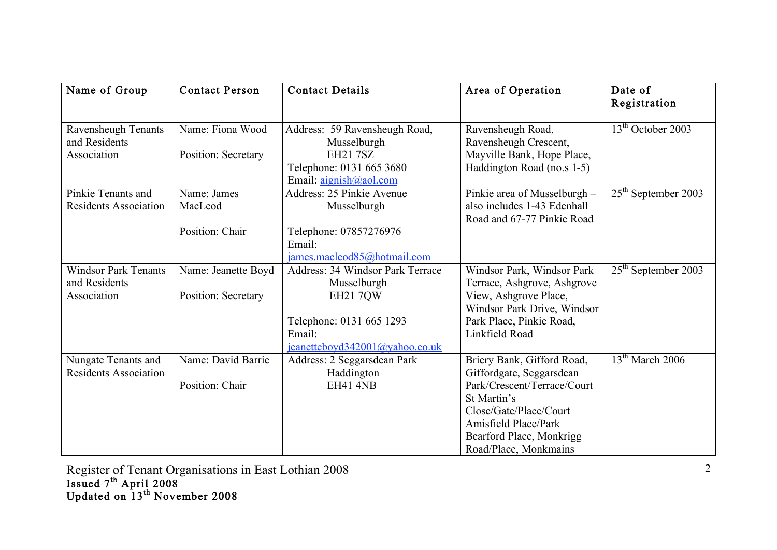| Name of Group                | <b>Contact Person</b> | <b>Contact Details</b>                            | Area of Operation                                       | Date of<br>Registration |
|------------------------------|-----------------------|---------------------------------------------------|---------------------------------------------------------|-------------------------|
| Ravensheugh Tenants          | Name: Fiona Wood      | Address: 59 Ravensheugh Road,                     | Ravensheugh Road,                                       | $13th$ October 2003     |
| and Residents                |                       | Musselburgh                                       | Ravensheugh Crescent,                                   |                         |
| Association                  | Position: Secretary   | <b>EH21 7SZ</b>                                   | Mayville Bank, Hope Place,                              |                         |
|                              |                       | Telephone: 0131 665 3680                          | Haddington Road (no.s 1-5)                              |                         |
|                              |                       | Email: $\frac{\text{aignish}(a)}{\text{aol.com}}$ |                                                         |                         |
| Pinkie Tenants and           | Name: James           | Address: 25 Pinkie Avenue                         | Pinkie area of Musselburgh -                            | $25th$ September 2003   |
| <b>Residents Association</b> | MacLeod               | Musselburgh                                       | also includes 1-43 Edenhall                             |                         |
|                              |                       |                                                   | Road and 67-77 Pinkie Road                              |                         |
|                              | Position: Chair       | Telephone: 07857276976                            |                                                         |                         |
|                              |                       | Email:                                            |                                                         |                         |
|                              |                       | james.macleod85@hotmail.com                       |                                                         |                         |
| <b>Windsor Park Tenants</b>  | Name: Jeanette Boyd   | Address: 34 Windsor Park Terrace                  | Windsor Park, Windsor Park                              | $25th$ September 2003   |
| and Residents                |                       | Musselburgh                                       | Terrace, Ashgrove, Ashgrove                             |                         |
| Association                  | Position: Secretary   | <b>EH21 7QW</b>                                   | View, Ashgrove Place,                                   |                         |
|                              |                       | Telephone: 0131 665 1293                          | Windsor Park Drive, Windsor<br>Park Place, Pinkie Road, |                         |
|                              |                       | Email:                                            | Linkfield Road                                          |                         |
|                              |                       | jeanetteboyd342001@yahoo.co.uk                    |                                                         |                         |
| Nungate Tenants and          | Name: David Barrie    | Address: 2 Seggarsdean Park                       | Briery Bank, Gifford Road,                              | $13th$ March 2006       |
| <b>Residents Association</b> |                       | Haddington                                        | Giffordgate, Seggarsdean                                |                         |
|                              | Position: Chair       | <b>EH41 4NB</b>                                   | Park/Crescent/Terrace/Court                             |                         |
|                              |                       |                                                   | St Martin's                                             |                         |
|                              |                       |                                                   | Close/Gate/Place/Court                                  |                         |
|                              |                       |                                                   | Amisfield Place/Park                                    |                         |
|                              |                       |                                                   | Bearford Place, Monkrigg                                |                         |
|                              |                       |                                                   | Road/Place, Monkmains                                   |                         |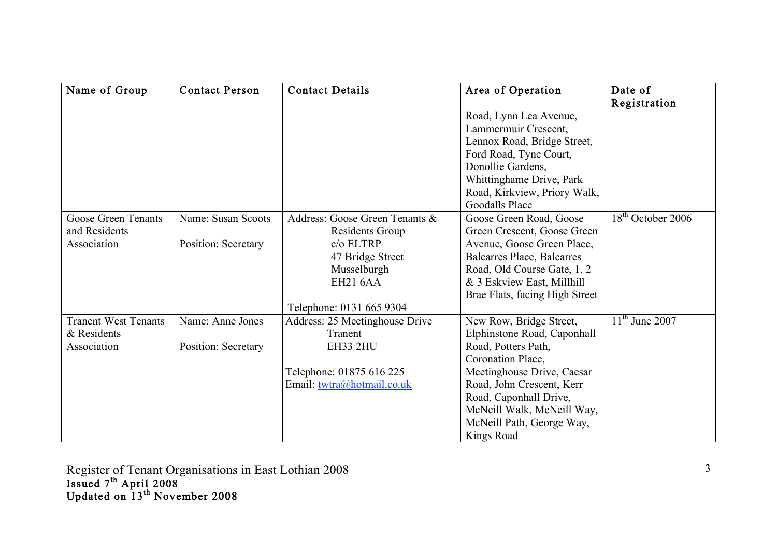| Name of Group               | <b>Contact Person</b> | <b>Contact Details</b>         | Area of Operation              | Date of                                 |
|-----------------------------|-----------------------|--------------------------------|--------------------------------|-----------------------------------------|
|                             |                       |                                |                                | Registration                            |
|                             |                       |                                | Road, Lynn Lea Avenue,         |                                         |
|                             |                       |                                | Lammermuir Crescent,           |                                         |
|                             |                       |                                | Lennox Road, Bridge Street,    |                                         |
|                             |                       |                                | Ford Road, Tyne Court,         |                                         |
|                             |                       |                                | Donollie Gardens,              |                                         |
|                             |                       |                                | Whittinghame Drive, Park       |                                         |
|                             |                       |                                | Road, Kirkview, Priory Walk,   |                                         |
|                             |                       |                                | <b>Goodalls Place</b>          |                                         |
| Goose Green Tenants         | Name: Susan Scoots    | Address: Goose Green Tenants & | Goose Green Road, Goose        | 18 <sup>th</sup> October 2006           |
| and Residents               |                       | Residents Group                | Green Crescent, Goose Green    |                                         |
| Association                 | Position: Secretary   | $c/o$ ELTRP                    | Avenue, Goose Green Place,     |                                         |
|                             |                       | 47 Bridge Street               | Balcarres Place, Balcarres     |                                         |
|                             |                       | Musselburgh                    | Road, Old Course Gate, 1, 2    |                                         |
|                             |                       | <b>EH21 6AA</b>                | & 3 Eskview East, Millhill     |                                         |
|                             |                       |                                | Brae Flats, facing High Street |                                         |
|                             |                       | Telephone: 0131 665 9304       |                                |                                         |
| <b>Tranent West Tenants</b> | Name: Anne Jones      | Address: 25 Meetinghouse Drive | New Row, Bridge Street,        | $\overline{11}$ <sup>th</sup> June 2007 |
| & Residents                 |                       | Tranent                        | Elphinstone Road, Caponhall    |                                         |
| Association                 | Position: Secretary   | EH33 2HU                       | Road, Potters Path,            |                                         |
|                             |                       |                                | Coronation Place,              |                                         |
|                             |                       | Telephone: 01875 616 225       | Meetinghouse Drive, Caesar     |                                         |
|                             |                       | Email: twtra@hotmail.co.uk     | Road, John Crescent, Kerr      |                                         |
|                             |                       |                                | Road, Caponhall Drive,         |                                         |
|                             |                       |                                | McNeill Walk, McNeill Way,     |                                         |
|                             |                       |                                | McNeill Path, George Way,      |                                         |
|                             |                       |                                | Kings Road                     |                                         |